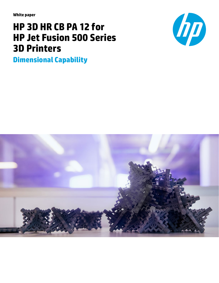**White paper**

# **HP 3D HR CB PA 12 for HP Jet Fusion 500 Series 3D Printers**





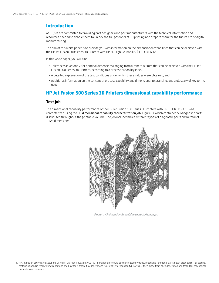### **Introduction**

At HP, we are committed to providing part designers and part manufacturers with the technical information and resources needed to enable them to unlock the full potential of 3D printing and prepare them for the future era of digital manufacturing.

The aim of this white paper is to provide you with information on the dimensional capabilities that can be achieved with the HP Jet Fusion 500 Series 3D Printers with HP 3D High Reusability (HR)1 CB PA 12.

In this white paper, you will find:

- Tolerances in XY and Z for nominal dimensions ranging from 0 mm to 80 mm that can be achieved with the HP Jet Fusion 500 Series 3D Printers, according to a process capability index,
- A detailed explanation of the test conditions under which these values were obtained, and
- Additional information on the concept of process capability and dimensional tolerancing, and a glossary of key terms used.

### **HP Jet Fusion 500 Series 3D Printers dimensional capability performance**

#### **Test job**

The dimensional capability performance of the HP Jet Fusion 500 Series 3D Printers with HP 3D HR CB PA 12 was characterized using the HP dimensional capability characterization job (Figure 1), which contained 59 diagnostic parts distributed throughout the printable volume. The job included three different types of diagnostic parts and a total of 1,524 dimensions.



*Figure 1. HP dimensional capability characterization job*

<sup>1.</sup> HP Jet Fusion 3D Printing Solutions using HP 3D High Reusability CB PA 12 provide up to 80% powder reusability ratio, producing functional parts batch after batch. For testing, material is aged in real printing conditions and powder is tracked by generations (worst case for reusability). Parts are then made from each generation and tested for mechanical properties and accuracy.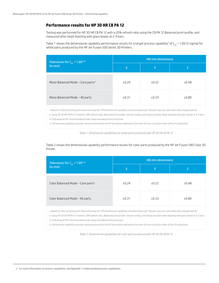#### **Performance results for HP 3D HR CB PA 12**

Testing was performed for HP 3D HR CB PA 12 with a 20% refresh ratio using the CB PA 12 Balanced print profile, and measured after bead-blasting with glass beads at 2-4 bars.

Table 1 shows the dimensional capability performance results for a target process capability<sup>2</sup> of C<sub>pk</sub> = 1.00 (3 sigma) for white parts produced by the HP Jet Fusion 500 Series 3D Printers.

| Tolerances for $C_{pk} = 1.00^{\text{ii iii}}$ | <80 mm dimensions |         |       |  |  |  |  |  |  |
|------------------------------------------------|-------------------|---------|-------|--|--|--|--|--|--|
| (in mm)                                        | X                 |         |       |  |  |  |  |  |  |
| Mono Balanced Mode - Core partsiv              | ±0.24             | $+0.22$ | ±0.48 |  |  |  |  |  |  |
| Mono Balanced Mode - All parts                 | ±0.31             | ±0.33   | ±0.80 |  |  |  |  |  |  |

*i. Based on internal testing and measured using the "HP dimensional capability characterization job." Results may vary with other jobs and geometries.*

*ii. Using HP 3D HR CB PA 12 material, 20% refresh ratio, Balanced print profile, natural cooling, and measured after bead-blasting with glass beads at 5-6 bars. iii. Following all HP-recommended printer setup and adjustment processes.*

*iv. Dimensional capability excludes measurements from the XY boundaries defined as the outer 20 mm on all four sides of the XY build plane.*

*Table 1. Dimensional capabilities for white parts produced with HP 3D HR CB PA 12*

Table 2 shows the dimensional capability performance results for color parts produced by the HP Jet Fusion 580 Color 3D Printer.

| Tolerances for $C_{\rm pk}$ = 1.00 <sup>iiiii</sup> | <80 mm dimensions |       |       |  |  |  |  |  |  |
|-----------------------------------------------------|-------------------|-------|-------|--|--|--|--|--|--|
| (in mm)                                             | $\mathsf{X}$      |       | 7     |  |  |  |  |  |  |
| Color Balanced Mode - Core partsiv                  | ±0.24             | ±0.22 | ±0.48 |  |  |  |  |  |  |
| Color Balanced Mode - All parts                     | ±0.31             | ±0.33 | ±0.80 |  |  |  |  |  |  |

*i. Based on internal testing and measured using the "HP dimensional capability characterization job." Results may vary with other jobs and geometries.*

*ii. Using HP 3D CB HR PA 12 material, 20% refresh ratio, Balanced print profile, natural cooling, and measured after bead-blasting with glass beads at 5-6 bars. iii. Following all HP-recommended printer setup and adjustment processes.*

*iv. Dimensional capability excludes measurements from the XY boundaries defined as the outer 20 mm on all four sides of the XY build plane.*

*Table 2. Dimensional capabilities for color parts produced with HP 3D HR CB PA 12*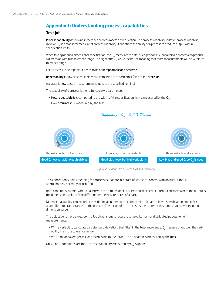## **Appendix 1: Understanding process capabilities**

#### **Test job**

Process capability determines whether a process meets a specification. The process capability index or process capability ratio, or C<sub>nk</sub>, is a statistical measure of process capability. It quantifies the ability of a process to produce output within specification limits.

When talking about a dimensional specification, the  $C_{nk}$  measures the statistical probability that a certain process can produce a dimension within its tolerance range. The higher the  $C_{nk}$  value the better, meaning that more measurements will be within its tolerance range.

For a process to be capable, it needs to be both repeatable and accurate.

Repeatability is how close multiple measurements are to each other (also called precision).

Accuracy is how close a measurement value is to the specified nominal.

The capability of a process is then a function two parameters:

- How repeatable it is compared to the width of the specification limits, measured by the C<sub>n</sub>.
- How accurate it is, measured by the bias.



*Figure 2. Relationship between bias and variability*

This concept only holds meaning for processes that are in a state of statistical control with an output that is approximately normally distributed.

Both conditions happen when dealing with the dimensional quality control of HP MJF–produced parts where the output is the dimensional value of the different geometrical features of a part.

Dimensional quality control processes define an upper specification limit (USL) and a lower specification limit (LSL), also called "tolerance range" of the process. The target of the process is the center of this range, typically the nominal dimension value.

The objective to have a well-controlled dimensional process is to have its normal distributed population of measurements:

- $\bullet$  With a variability (calculated as standard deviation) that "fits" in the tolerance range.  ${\sf C_p}$  measures how well the variability fits in the tolerance range.
- With a mean (average) as close as possible to the target. The deviation is measured by the bias.

Only if both conditions are met, process capability measured by  $C_{nk}$  is good: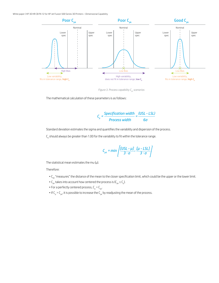

*Figure 3. Process capability C<sub>pk</sub> scenarios* 

The mathematical calculation of these parameters is as follows:

$$
C_p = \frac{Specification \; width}{Process \; width} = \frac{(USL - LSL)}{6\sigma}
$$

Standard deviation estimates the sigma and quantifies the variability and dispersion of the process.

 $\mathsf{C}_{{}_{\sf p}}$  should always be greater than 1.00 for the variability to fit within the tolerance range.

$$
C_{pk} = min\left\{\frac{[USL - \mu J]}{3 \cdot \sigma}, \frac{[\mu - LSL]}{3 \cdot \sigma}\right\}
$$

The statistical mean estimates the mu ( $\mu$ ).

Therefore:

- $\cdot C_{pk}$  "measures" the distance of the mean to the closer specification limit, which could be the upper or the lower limit.
- $C_{\rm pk}$  takes into account how centered the process is ( $C_{\rm pk} \le C_{\rm pb}$ ).
- For a perfectly centered process,  $C_p = C_{pk}$ .
- If  $C_p > C_{pk}$ , it is possible to increase the  $C_{pk}$  by readjusting the mean of the process.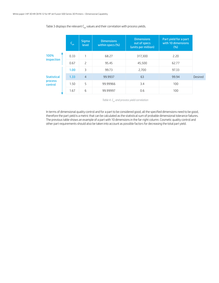#### Table 3 displays the relevant  $C_{pk}$  values and their correlation with process yields.

|                    | THE  | <b>Sigma</b><br>level | <b>Dimensions</b><br>within specs (%) | <b>Dimensions</b><br>out of specs<br>(units per million) | Part yield for a part<br>with 10 dimensions<br>(% ) |         |
|--------------------|------|-----------------------|---------------------------------------|----------------------------------------------------------|-----------------------------------------------------|---------|
| 100%               | 0.33 | 1                     | 68.27                                 | 317,300                                                  | 2.20                                                |         |
| inspection         | 0.67 | $\overline{c}$        | 95.45                                 | 45,500                                                   | 62.77                                               |         |
|                    | 1.00 | 3                     | 99.73                                 | 2.700                                                    | 97.33                                               |         |
| <b>Statistical</b> | 1.33 | $\overline{4}$        | 99.9937                               | 63                                                       | 99.94                                               | Desired |
| process<br>control | 1.50 | 5                     | 99.99966                              | 3.4                                                      | 100                                                 |         |
|                    | 1.67 | 6                     | 99.99997                              | 0.6                                                      | 100                                                 |         |

Table 4. C<sub>pk</sub> and process yield correlation

In terms of dimensional quality control and for a part to be considered good, all the specified dimensions need to be good, therefore the part yield is a metric that can be calculated as the statistical sum of probable dimensional tolerance failures. The previous table shows an example of a part with 10 dimensions in the far-right column. Cosmetic quality control and other part requirements should also be taken into account as possible factors for decreasing the total part yield.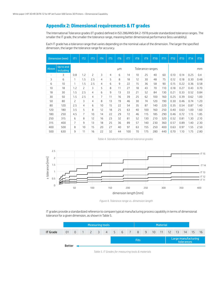## **Appendix 2: Dimensional requirements & IT grades**

The International Tolerance grades (IT grades) defined in ISO 286/ANSI B4.2-1978 provide standardized tolerance ranges. The smaller the IT grade, the smaller the tolerance range, meaning better dimensional performance (less variability).

Each IT grade has a tolerance range that varies depending on the nominal value of the dimension. The larger the specified dimension, the larger the tolerance range for accuracy.

|                          | Dimension (mm)         | IT1            | IT <sub>2</sub> | IT <sub>3</sub> | IT <sub>4</sub> | IT5 | IT <sub>6</sub> | IT7 | IT <sub>8</sub> | IT <sub>9</sub>  | <b>IT10</b> | <b>IT11</b> | <b>IT12</b> | <b>IT13</b> | <b>IT14</b> | <b>IT15</b> |  |  |
|--------------------------|------------------------|----------------|-----------------|-----------------|-----------------|-----|-----------------|-----|-----------------|------------------|-------------|-------------|-------------|-------------|-------------|-------------|--|--|
| <b>Above</b>             | Up to and<br>including |                |                 |                 |                 |     |                 |     |                 | Tolerance ranges |             |             | mm          |             |             |             |  |  |
| $\overline{\phantom{0}}$ | 3                      | 0.8            | 1.2             | 2               | 3               | 4   | 6               | 14  | 10              | 25               | 40          | 60          | 0.10        | 0.14        | 0.25        | 0.4         |  |  |
| 3                        | 6                      | $\mathbf{1}$   | 1.5             | 2.5             | 4               | 5   | 8               | 18  | 12              | 30               | 48          | 75          | 0.12        | 0.18        | 0.30        | 0.48        |  |  |
| 6                        | 10                     | $\mathbf{1}$   | 1.5             | 2.5             | 4               | 6   | 9               | 22  | 15              | 36               | 58          | 90          | 0.15        | 0.22        | 0.36        | 0.58        |  |  |
| 10                       | 18                     | 1.2            | 2               | 3               | 5               | 8   | 11              | 27  | 18              | 43               | 70          | 110         | 0.18        | 0.27        | 0.43        | 0.70        |  |  |
| 18                       | 30                     | 1.5            | 2.5             | 4               | 6               | 9   | 13              | 33  | 21              | 52               | 84          | 130         | 0.21        | 0.33        | 0.52        | 0.84        |  |  |
| 30                       | 50                     | 1.5            | 2.5             | 4               | 7               | 11  | 16              | 39  | 25              | 62               | 100         | 160         | 0.25        | 0.39        | 0.62        | 1.00        |  |  |
| 50                       | 80                     | 2              | 3               | 4               | 8               | 13  | 19              | 46  | 30              | 74               | 120         | 190         | 0.30        | 0.46        | 0.74        | 1.20        |  |  |
| 80                       | 120                    | 2.5            | $\overline{4}$  | 6               | 10              | 15  | 22              | 54  | 35              | 87               | 140         | 220         | 0.35        | 0.54        | 0.87        | 1.40        |  |  |
| 120                      | 180                    | 3.5            | 5               | 8               | 12              | 18  | 25              | 63  | 40              | 100              | 160         | 250         | 0.40        | 0.63        | 1.00        | 1.60        |  |  |
| 180                      | 250                    | 4.5            | $\overline{7}$  | 10              | 14              | 22  | 29              | 72  | 46              | 115              | 185         | 290         | 0.46        | 0.72        | 1.15        | 1.85        |  |  |
| 250                      | 315                    | 6              | 8               | 12              | 16              | 23  | 32              | 81  | 52              | 130              | 210         | 320         | 0.52        | 0.81        | 1.30        | 2.10        |  |  |
| 315                      | 400                    | $\overline{7}$ | 9               | 13              | 18              | 25  | 36              | 89  | 57              | 140              | 230         | 360         | 0.57        | 0.89        | 1.40        | 2.30        |  |  |
| 400                      | 500                    | 8              | 10              | 15              | 20              | 27  | 40              | 97  | 63              | 155              | 250         | 400         | 0.63        | 0.97        | 1.55        | 2.50        |  |  |
| 500                      | 630                    | 9              | 11              | 16              | 22              | 32  | 44              | 100 | 70              | 175              | 280         | 440         | 0.70        | 1.10        | 1.75        | 2.80        |  |  |

*Table 4. Standard international tolerance grades*



*Figure 4. Tolerance range vs. dimension length* 

IT grades provide a standardized reference to compare typical manufacturing process capability in terms of dimensional tolerance for a given dimension, as shown in Table 5.

|                 | Measuring tools |  |  |  |  |             |  |  |  |                               | <b>Material</b> |  |                                   |  |  |    |           |  |
|-----------------|-----------------|--|--|--|--|-------------|--|--|--|-------------------------------|-----------------|--|-----------------------------------|--|--|----|-----------|--|
| <b>IT Grade</b> | $01 \qquad 0$   |  |  |  |  |             |  |  |  | 1 2 3 4 5 6 7 8 9 10 11 12 13 |                 |  |                                   |  |  | 14 | $15 \ 16$ |  |
|                 |                 |  |  |  |  | <b>Fits</b> |  |  |  |                               |                 |  | Large manufacturing<br>tolerances |  |  |    |           |  |
|                 | <b>Better</b>   |  |  |  |  |             |  |  |  |                               |                 |  |                                   |  |  |    |           |  |

*Table 5. IT Grades for measuring tools & materials*